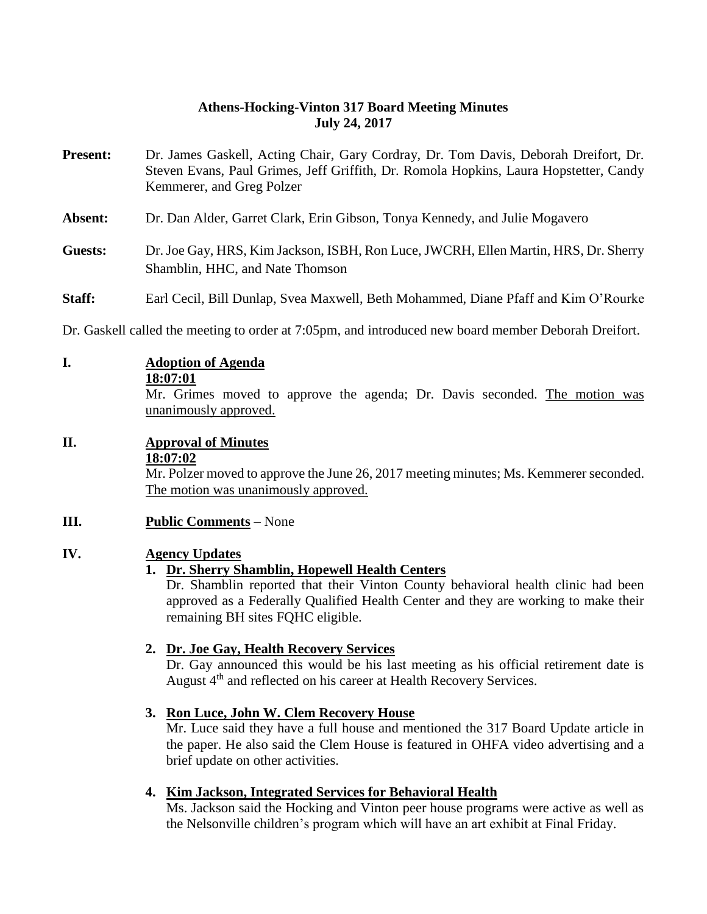### **Athens-Hocking-Vinton 317 Board Meeting Minutes July 24, 2017**

- **Present:** Dr. James Gaskell, Acting Chair, Gary Cordray, Dr. Tom Davis, Deborah Dreifort, Dr. Steven Evans, Paul Grimes, Jeff Griffith, Dr. Romola Hopkins, Laura Hopstetter, Candy Kemmerer, and Greg Polzer **Absent:** Dr. Dan Alder, Garret Clark, Erin Gibson, Tonya Kennedy, and Julie Mogavero
- **Guests:** Dr. Joe Gay, HRS, Kim Jackson, ISBH, Ron Luce, JWCRH, Ellen Martin, HRS, Dr. Sherry Shamblin, HHC, and Nate Thomson
- **Staff:** Earl Cecil, Bill Dunlap, Svea Maxwell, Beth Mohammed, Diane Pfaff and Kim O'Rourke

Dr. Gaskell called the meeting to order at 7:05pm, and introduced new board member Deborah Dreifort.

### **I. Adoption of Agenda**

**18:07:01**

Mr. Grimes moved to approve the agenda; Dr. Davis seconded. The motion was unanimously approved.

### **II. Approval of Minutes**

#### **18:07:02**

Mr. Polzer moved to approve the June 26, 2017 meeting minutes; Ms. Kemmerer seconded. The motion was unanimously approved.

### **III. Public Comments** – None

### **IV. Agency Updates**

### **1. Dr. Sherry Shamblin, Hopewell Health Centers**

Dr. Shamblin reported that their Vinton County behavioral health clinic had been approved as a Federally Qualified Health Center and they are working to make their remaining BH sites FQHC eligible.

### **2. Dr. Joe Gay, Health Recovery Services**

Dr. Gay announced this would be his last meeting as his official retirement date is August 4<sup>th</sup> and reflected on his career at Health Recovery Services.

### **3. Ron Luce, John W. Clem Recovery House**

Mr. Luce said they have a full house and mentioned the 317 Board Update article in the paper. He also said the Clem House is featured in OHFA video advertising and a brief update on other activities.

### **4. Kim Jackson, Integrated Services for Behavioral Health**

Ms. Jackson said the Hocking and Vinton peer house programs were active as well as the Nelsonville children's program which will have an art exhibit at Final Friday.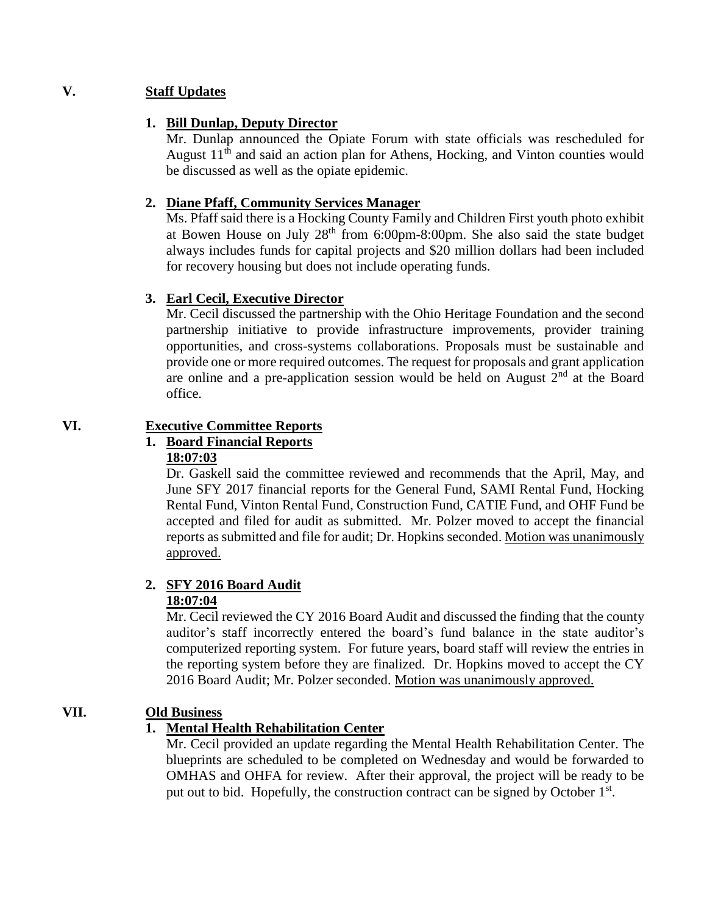### **V. Staff Updates**

### **1. Bill Dunlap, Deputy Director**

Mr. Dunlap announced the Opiate Forum with state officials was rescheduled for August  $11<sup>th</sup>$  and said an action plan for Athens, Hocking, and Vinton counties would be discussed as well as the opiate epidemic.

### **2. Diane Pfaff, Community Services Manager**

Ms. Pfaff said there is a Hocking County Family and Children First youth photo exhibit at Bowen House on July  $28<sup>th</sup>$  from 6:00pm-8:00pm. She also said the state budget always includes funds for capital projects and \$20 million dollars had been included for recovery housing but does not include operating funds.

### **3. Earl Cecil, Executive Director**

Mr. Cecil discussed the partnership with the Ohio Heritage Foundation and the second partnership initiative to provide infrastructure improvements, provider training opportunities, and cross-systems collaborations. Proposals must be sustainable and provide one or more required outcomes. The request for proposals and grant application are online and a pre-application session would be held on August  $2<sup>nd</sup>$  at the Board office.

### **VI. Executive Committee Reports**

## **1. Board Financial Reports**

**18:07:03** Dr. Gaskell said the committee reviewed and recommends that the April, May, and June SFY 2017 financial reports for the General Fund, SAMI Rental Fund, Hocking Rental Fund, Vinton Rental Fund, Construction Fund, CATIE Fund, and OHF Fund be accepted and filed for audit as submitted. Mr. Polzer moved to accept the financial reports as submitted and file for audit; Dr. Hopkins seconded. Motion was unanimously

# **2. SFY 2016 Board Audit**

### **18:07:04**

approved.

Mr. Cecil reviewed the CY 2016 Board Audit and discussed the finding that the county auditor's staff incorrectly entered the board's fund balance in the state auditor's computerized reporting system. For future years, board staff will review the entries in the reporting system before they are finalized. Dr. Hopkins moved to accept the CY 2016 Board Audit; Mr. Polzer seconded. Motion was unanimously approved.

### **VII. Old Business**

### **1. Mental Health Rehabilitation Center**

Mr. Cecil provided an update regarding the Mental Health Rehabilitation Center. The blueprints are scheduled to be completed on Wednesday and would be forwarded to OMHAS and OHFA for review. After their approval, the project will be ready to be put out to bid. Hopefully, the construction contract can be signed by October 1<sup>st</sup>.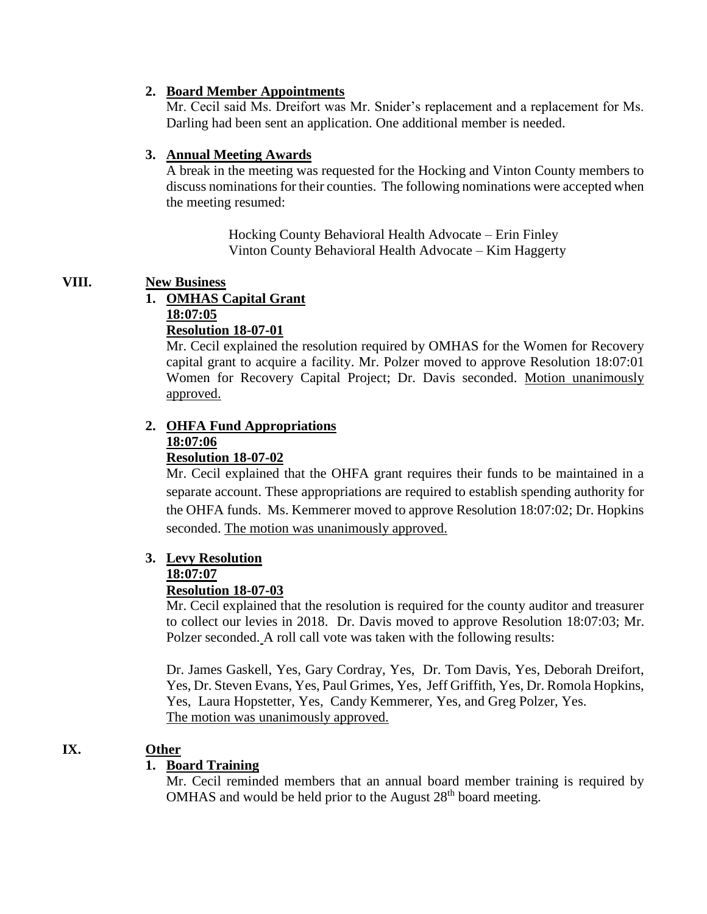### **2. Board Member Appointments**

Mr. Cecil said Ms. Dreifort was Mr. Snider's replacement and a replacement for Ms. Darling had been sent an application. One additional member is needed.

### **3. Annual Meeting Awards**

A break in the meeting was requested for the Hocking and Vinton County members to discuss nominations for their counties. The following nominations were accepted when the meeting resumed:

> Hocking County Behavioral Health Advocate – Erin Finley Vinton County Behavioral Health Advocate – Kim Haggerty

### **VIII. New Business**

### **1. OMHAS Capital Grant**

**18:07:05**

**Resolution 18-07-01**

Mr. Cecil explained the resolution required by OMHAS for the Women for Recovery capital grant to acquire a facility. Mr. Polzer moved to approve Resolution 18:07:01 Women for Recovery Capital Project; Dr. Davis seconded. Motion unanimously approved.

### **2. OHFA Fund Appropriations 18:07:06**

### **Resolution 18-07-02**

Mr. Cecil explained that the OHFA grant requires their funds to be maintained in a separate account. These appropriations are required to establish spending authority for the OHFA funds. Ms. Kemmerer moved to approve Resolution 18:07:02; Dr. Hopkins seconded. The motion was unanimously approved.

### **3. Levy Resolution**

### **18:07:07**

### **Resolution 18-07-03**

Mr. Cecil explained that the resolution is required for the county auditor and treasurer to collect our levies in 2018. Dr. Davis moved to approve Resolution 18:07:03; Mr. Polzer seconded. A roll call vote was taken with the following results:

Dr. James Gaskell, Yes, Gary Cordray, Yes, Dr. Tom Davis, Yes, Deborah Dreifort, Yes, Dr. Steven Evans, Yes, Paul Grimes, Yes, Jeff Griffith, Yes, Dr. Romola Hopkins, Yes, Laura Hopstetter, Yes, Candy Kemmerer, Yes, and Greg Polzer, Yes. The motion was unanimously approved.

### **IX. Other**

### **1. Board Training**

Mr. Cecil reminded members that an annual board member training is required by OMHAS and would be held prior to the August  $28<sup>th</sup>$  board meeting.